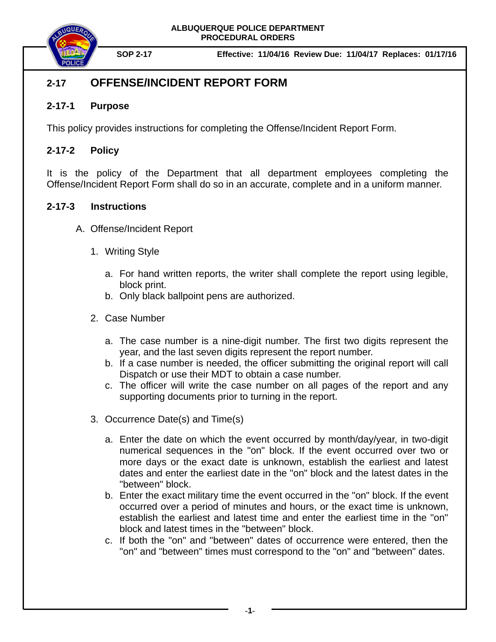

**SOP 2-17 Effective: 11/04/16 Review Due: 11/04/17 Replaces: 01/17/16**

# **2-17 OFFENSE/INCIDENT REPORT FORM**

# **2-17-1 Purpose**

This policy provides instructions for completing the Offense/Incident Report Form.

# **2-17-2 Policy**

It is the policy of the Department that all department employees completing the Offense/Incident Report Form shall do so in an accurate, complete and in a uniform manner.

## **2-17-3 Instructions**

- A. Offense/Incident Report
	- 1. Writing Style
		- a. For hand written reports, the writer shall complete the report using legible, block print.
		- b. Only black ballpoint pens are authorized.
	- 2. Case Number
		- a. The case number is a nine-digit number. The first two digits represent the year, and the last seven digits represent the report number.
		- b. If a case number is needed, the officer submitting the original report will call Dispatch or use their MDT to obtain a case number.
		- c. The officer will write the case number on all pages of the report and any supporting documents prior to turning in the report.
	- 3. Occurrence Date(s) and Time(s)
		- a. Enter the date on which the event occurred by month/day/year, in two-digit numerical sequences in the "on" block. If the event occurred over two or more days or the exact date is unknown, establish the earliest and latest dates and enter the earliest date in the "on" block and the latest dates in the "between" block.
		- b. Enter the exact military time the event occurred in the "on" block. If the event occurred over a period of minutes and hours, or the exact time is unknown, establish the earliest and latest time and enter the earliest time in the "on" block and latest times in the "between" block.
		- c. If both the "on" and "between" dates of occurrence were entered, then the "on" and "between" times must correspond to the "on" and "between" dates.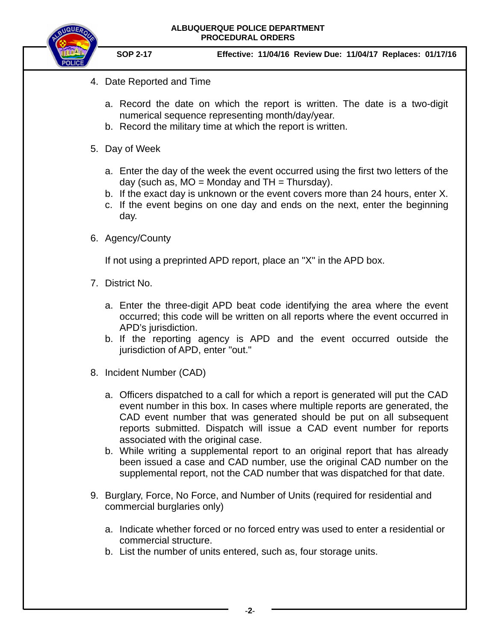

**SOP 2-17 Effective: 11/04/16 Review Due: 11/04/17 Replaces: 01/17/16**

- 4. Date Reported and Time
	- a. Record the date on which the report is written. The date is a two-digit numerical sequence representing month/day/year.
	- b. Record the military time at which the report is written.
- 5. Day of Week
	- a. Enter the day of the week the event occurred using the first two letters of the day (such as,  $MO =$  Monday and  $TH =$ Thursday).
	- b. If the exact day is unknown or the event covers more than 24 hours, enter X.
	- c. If the event begins on one day and ends on the next, enter the beginning day.
- 6. Agency/County

If not using a preprinted APD report, place an "X" in the APD box.

- 7. District No.
	- a. Enter the three-digit APD beat code identifying the area where the event occurred; this code will be written on all reports where the event occurred in APD's jurisdiction.
	- b. If the reporting agency is APD and the event occurred outside the jurisdiction of APD, enter "out."
- 8. Incident Number (CAD)
	- a. Officers dispatched to a call for which a report is generated will put the CAD event number in this box. In cases where multiple reports are generated, the CAD event number that was generated should be put on all subsequent reports submitted. Dispatch will issue a CAD event number for reports associated with the original case.
	- b. While writing a supplemental report to an original report that has already been issued a case and CAD number, use the original CAD number on the supplemental report, not the CAD number that was dispatched for that date.
- 9. Burglary, Force, No Force, and Number of Units (required for residential and commercial burglaries only)
	- a. Indicate whether forced or no forced entry was used to enter a residential or commercial structure.
	- b. List the number of units entered, such as, four storage units.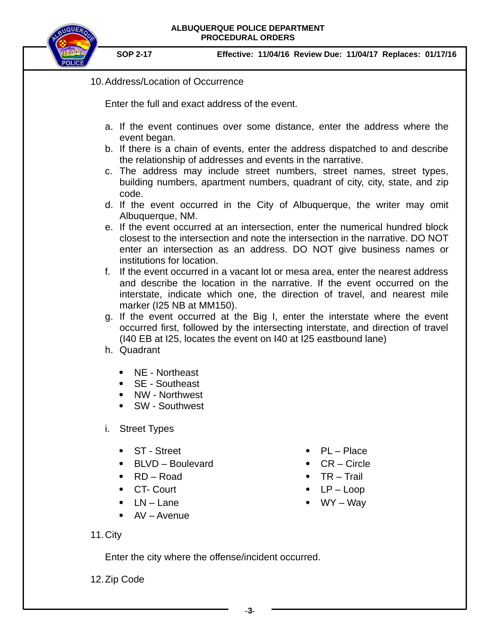

**SOP 2-17 Effective: 11/04/16 Review Due: 11/04/17 Replaces: 01/17/16**

10.Address/Location of Occurrence

Enter the full and exact address of the event.

- a. If the event continues over some distance, enter the address where the event began.
- b. If there is a chain of events, enter the address dispatched to and describe the relationship of addresses and events in the narrative.
- c. The address may include street numbers, street names, street types, building numbers, apartment numbers, quadrant of city, city, state, and zip code.
- d. If the event occurred in the City of Albuquerque, the writer may omit Albuquerque, NM.
- e. If the event occurred at an intersection, enter the numerical hundred block closest to the intersection and note the intersection in the narrative. DO NOT enter an intersection as an address. DO NOT give business names or institutions for location.
- f. If the event occurred in a vacant lot or mesa area, enter the nearest address and describe the location in the narrative. If the event occurred on the interstate, indicate which one, the direction of travel, and nearest mile marker (I25 NB at MM150).
- g. If the event occurred at the Big I, enter the interstate where the event occurred first, followed by the intersecting interstate, and direction of travel (I40 EB at I25, locates the event on I40 at I25 eastbound lane)
- h. Quadrant
	- NE Northeast
	- SE Southeast
	- NW Northwest
	- SW Southwest
- i. Street Types
	- ST Street
	- BLVD Boulevard
	- RD Road
	- CT- Court
	- $\bullet$  LN Lane
	- AV Avenue
- $\n **PL** Place\n$
- CR Circle
- TR Trail
- $\bullet$  LP-Loop
- $\bullet$  WY Way

11.City

Enter the city where the offense/incident occurred.

12.Zip Code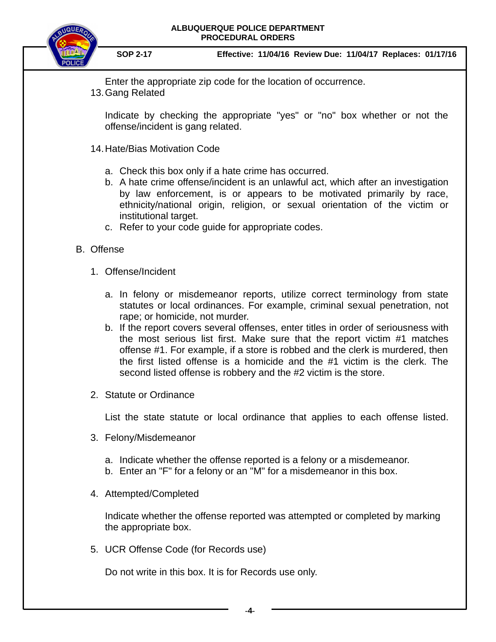

Enter the appropriate zip code for the location of occurrence.

13.Gang Related

Indicate by checking the appropriate "yes" or "no" box whether or not the offense/incident is gang related.

- 14.Hate/Bias Motivation Code
	- a. Check this box only if a hate crime has occurred.
	- b. A hate crime offense/incident is an unlawful act, which after an investigation by law enforcement, is or appears to be motivated primarily by race, ethnicity/national origin, religion, or sexual orientation of the victim or institutional target.
	- c. Refer to your code guide for appropriate codes.
- B. Offense
	- 1. Offense/Incident
		- a. In felony or misdemeanor reports, utilize correct terminology from state statutes or local ordinances. For example, criminal sexual penetration, not rape; or homicide, not murder.
		- b. If the report covers several offenses, enter titles in order of seriousness with the most serious list first. Make sure that the report victim #1 matches offense #1. For example, if a store is robbed and the clerk is murdered, then the first listed offense is a homicide and the #1 victim is the clerk. The second listed offense is robbery and the #2 victim is the store.
	- 2. Statute or Ordinance

List the state statute or local ordinance that applies to each offense listed.

- 3. Felony/Misdemeanor
	- a. Indicate whether the offense reported is a felony or a misdemeanor.
	- b. Enter an "F" for a felony or an "M" for a misdemeanor in this box.
- 4. Attempted/Completed

Indicate whether the offense reported was attempted or completed by marking the appropriate box.

5. UCR Offense Code (for Records use)

Do not write in this box. It is for Records use only.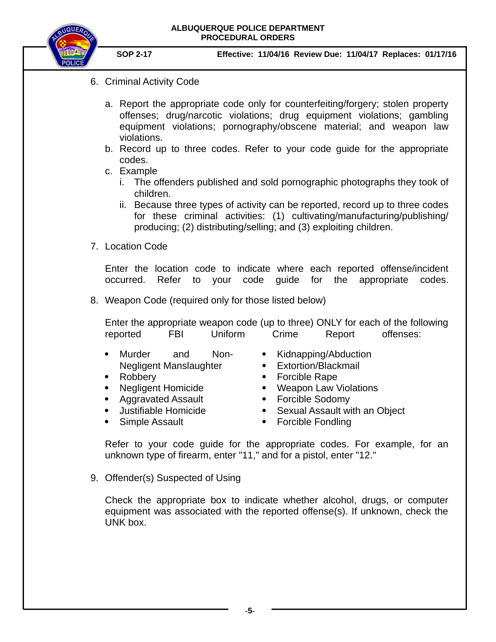

- 6. Criminal Activity Code
	- a. Report the appropriate code only for counterfeiting/forgery; stolen property offenses; drug/narcotic violations; drug equipment violations; gambling equipment violations; pornography/obscene material; and weapon law violations.
	- b. Record up to three codes. Refer to your code guide for the appropriate codes.
	- c. Example
		- i. The offenders published and sold pornographic photographs they took of children.
		- ii. Because three types of activity can be reported, record up to three codes for these criminal activities: (1) cultivating/manufacturing/publishing/ producing; (2) distributing/selling; and (3) exploiting children.
- 7. Location Code

Enter the location code to indicate where each reported offense/incident occurred. Refer to your code guide for the appropriate codes.

8. Weapon Code (required only for those listed below)

Enter the appropriate weapon code (up to three) ONLY for each of the following reported FBI Uniform Crime Report offenses:

- Murder and Non-Negligent Manslaughter
- Robbery
- Negligent Homicide
- Aggravated Assault
- Justifiable Homicide
- Simple Assault
- Kidnapping/Abduction
- Extortion/Blackmail
- Forcible Rape
- Weapon Law Violations
- Forcible Sodomy
- Sexual Assault with an Object
- Forcible Fondling

Refer to your code guide for the appropriate codes. For example, for an unknown type of firearm, enter "11," and for a pistol, enter "12."

9. Offender(s) Suspected of Using

Check the appropriate box to indicate whether alcohol, drugs, or computer equipment was associated with the reported offense(s). If unknown, check the UNK box.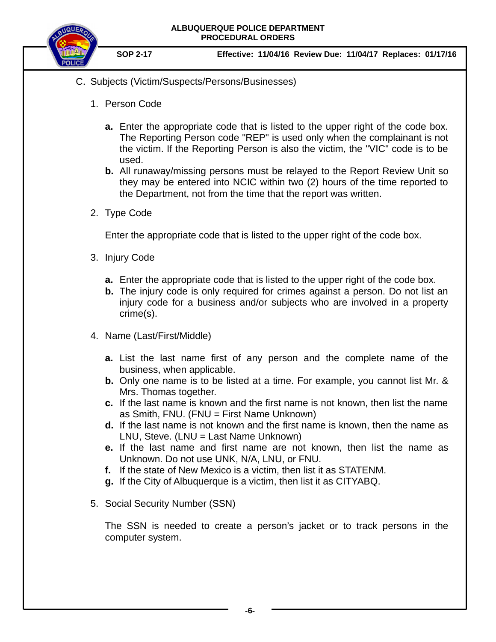

**SOP 2-17 Effective: 11/04/16 Review Due: 11/04/17 Replaces: 01/17/16**

- C. Subjects (Victim/Suspects/Persons/Businesses)
	- 1. Person Code
		- **a.** Enter the appropriate code that is listed to the upper right of the code box. The Reporting Person code "REP" is used only when the complainant is not the victim. If the Reporting Person is also the victim, the "VIC" code is to be used.
		- **b.** All runaway/missing persons must be relayed to the Report Review Unit so they may be entered into NCIC within two (2) hours of the time reported to the Department, not from the time that the report was written.
	- 2. Type Code

Enter the appropriate code that is listed to the upper right of the code box.

- 3. Injury Code
	- **a.** Enter the appropriate code that is listed to the upper right of the code box.
	- **b.** The injury code is only required for crimes against a person. Do not list an injury code for a business and/or subjects who are involved in a property crime(s).
- 4. Name (Last/First/Middle)
	- **a.** List the last name first of any person and the complete name of the business, when applicable.
	- **b.** Only one name is to be listed at a time. For example, you cannot list Mr. & Mrs. Thomas together.
	- **c.** If the last name is known and the first name is not known, then list the name as Smith, FNU. (FNU = First Name Unknown)
	- **d.** If the last name is not known and the first name is known, then the name as LNU, Steve. (LNU = Last Name Unknown)
	- **e.** If the last name and first name are not known, then list the name as Unknown. Do not use UNK, N/A, LNU, or FNU.
	- **f.** If the state of New Mexico is a victim, then list it as STATENM.
	- **g.** If the City of Albuquerque is a victim, then list it as CITYABQ.
- 5. Social Security Number (SSN)

The SSN is needed to create a person's jacket or to track persons in the computer system.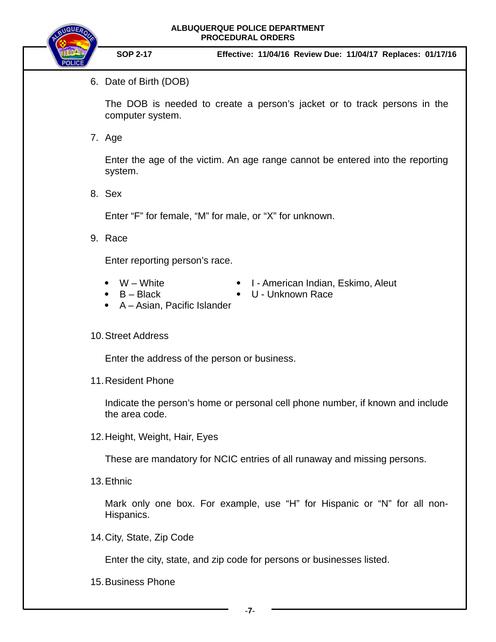

6. Date of Birth (DOB)

The DOB is needed to create a person's jacket or to track persons in the computer system.

7. Age

Enter the age of the victim. An age range cannot be entered into the reporting system.

8. Sex

Enter "F" for female, "M" for male, or "X" for unknown.

9. Race

Enter reporting person's race.

 $\bullet$  W – White

• I - American Indian, Eskimo, Aleut

- $\bullet$  B Black
- U Unknown Race
- A Asian, Pacific Islander

### 10.Street Address

Enter the address of the person or business.

11.Resident Phone

Indicate the person's home or personal cell phone number, if known and include the area code.

12.Height, Weight, Hair, Eyes

These are mandatory for NCIC entries of all runaway and missing persons.

13.Ethnic

Mark only one box. For example, use "H" for Hispanic or "N" for all non-Hispanics.

14.City, State, Zip Code

Enter the city, state, and zip code for persons or businesses listed.

15.Business Phone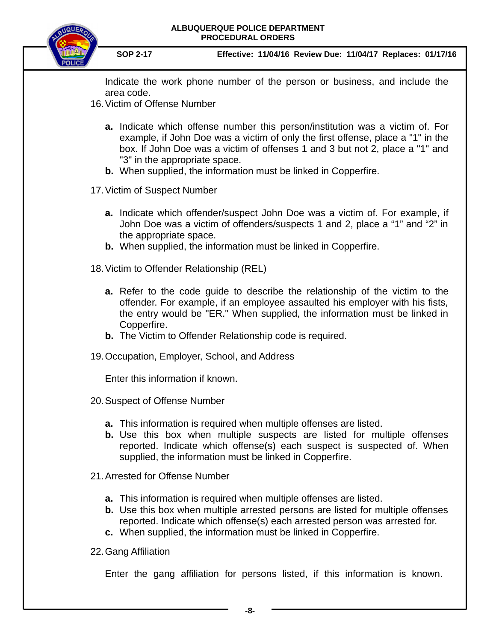

Indicate the work phone number of the person or business, and include the area code.

- 16.Victim of Offense Number
	- **a.** Indicate which offense number this person/institution was a victim of. For example, if John Doe was a victim of only the first offense, place a "1" in the box. If John Doe was a victim of offenses 1 and 3 but not 2, place a "1" and "3" in the appropriate space.
	- **b.** When supplied, the information must be linked in Copperfire.
- 17.Victim of Suspect Number
	- **a.** Indicate which offender/suspect John Doe was a victim of. For example, if John Doe was a victim of offenders/suspects 1 and 2, place a "1" and "2" in the appropriate space.
	- **b.** When supplied, the information must be linked in Copperfire.
- 18.Victim to Offender Relationship (REL)
	- **a.** Refer to the code guide to describe the relationship of the victim to the offender. For example, if an employee assaulted his employer with his fists, the entry would be "ER." When supplied, the information must be linked in Copperfire.
	- **b.** The Victim to Offender Relationship code is required.
- 19.Occupation, Employer, School, and Address

Enter this information if known.

- 20.Suspect of Offense Number
	- **a.** This information is required when multiple offenses are listed.
	- **b.** Use this box when multiple suspects are listed for multiple offenses reported. Indicate which offense(s) each suspect is suspected of. When supplied, the information must be linked in Copperfire.
- 21.Arrested for Offense Number
	- **a.** This information is required when multiple offenses are listed.
	- **b.** Use this box when multiple arrested persons are listed for multiple offenses reported. Indicate which offense(s) each arrested person was arrested for.
	- **c.** When supplied, the information must be linked in Copperfire.
- 22.Gang Affiliation

Enter the gang affiliation for persons listed, if this information is known.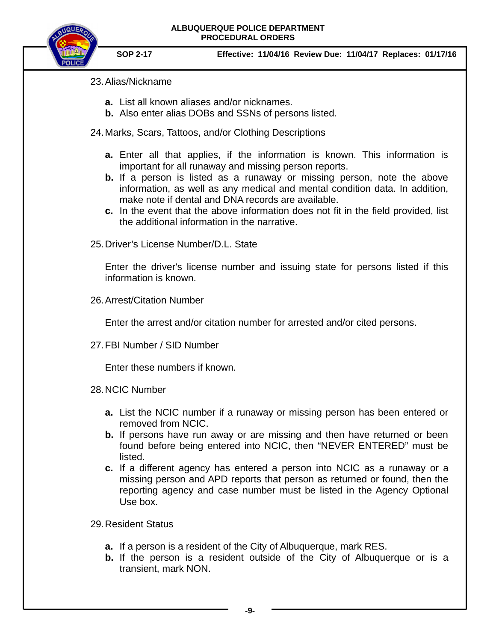

- 23.Alias/Nickname
	- **a.** List all known aliases and/or nicknames.
	- **b.** Also enter alias DOBs and SSNs of persons listed.
- 24.Marks, Scars, Tattoos, and/or Clothing Descriptions
	- **a.** Enter all that applies, if the information is known. This information is important for all runaway and missing person reports.
	- **b.** If a person is listed as a runaway or missing person, note the above information, as well as any medical and mental condition data. In addition, make note if dental and DNA records are available.
	- **c.** In the event that the above information does not fit in the field provided, list the additional information in the narrative.
- 25.Driver's License Number/D.L. State

Enter the driver's license number and issuing state for persons listed if this information is known.

26.Arrest/Citation Number

Enter the arrest and/or citation number for arrested and/or cited persons.

27.FBI Number / SID Number

Enter these numbers if known.

- 28.NCIC Number
	- **a.** List the NCIC number if a runaway or missing person has been entered or removed from NCIC.
	- **b.** If persons have run away or are missing and then have returned or been found before being entered into NCIC, then "NEVER ENTERED" must be listed.
	- **c.** If a different agency has entered a person into NCIC as a runaway or a missing person and APD reports that person as returned or found, then the reporting agency and case number must be listed in the Agency Optional Use box.

### 29.Resident Status

- **a.** If a person is a resident of the City of Albuquerque, mark RES.
- **b.** If the person is a resident outside of the City of Albuquerque or is a transient, mark NON.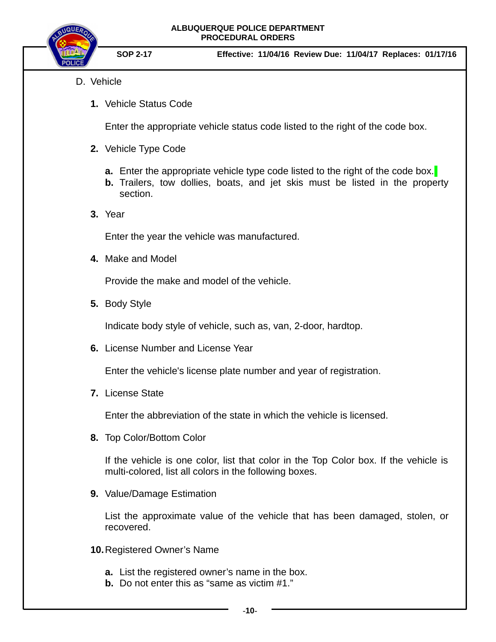

- D. Vehicle
	- **1.** Vehicle Status Code

Enter the appropriate vehicle status code listed to the right of the code box.

- **2.** Vehicle Type Code
	- **a.** Enter the appropriate vehicle type code listed to the right of the code box.
	- **b.** Trailers, tow dollies, boats, and jet skis must be listed in the property section.
- **3.** Year

Enter the year the vehicle was manufactured.

**4.** Make and Model

Provide the make and model of the vehicle.

**5.** Body Style

Indicate body style of vehicle, such as, van, 2-door, hardtop.

**6.** License Number and License Year

Enter the vehicle's license plate number and year of registration.

**7.** License State

Enter the abbreviation of the state in which the vehicle is licensed.

**8.** Top Color/Bottom Color

If the vehicle is one color, list that color in the Top Color box. If the vehicle is multi-colored, list all colors in the following boxes.

**9.** Value/Damage Estimation

List the approximate value of the vehicle that has been damaged, stolen, or recovered.

- **10.**Registered Owner's Name
	- **a.** List the registered owner's name in the box.
	- **b.** Do not enter this as "same as victim #1."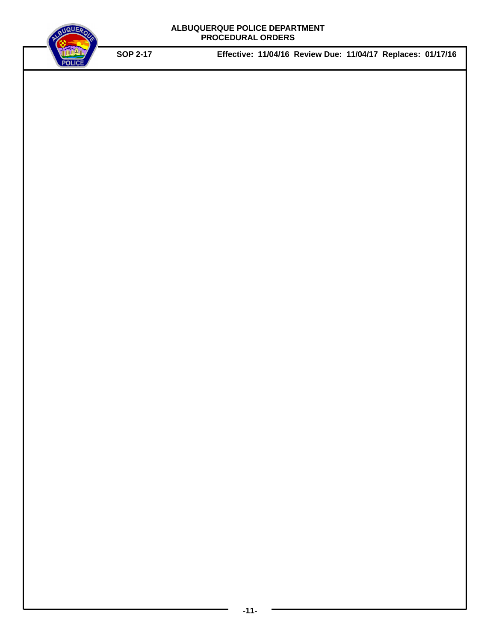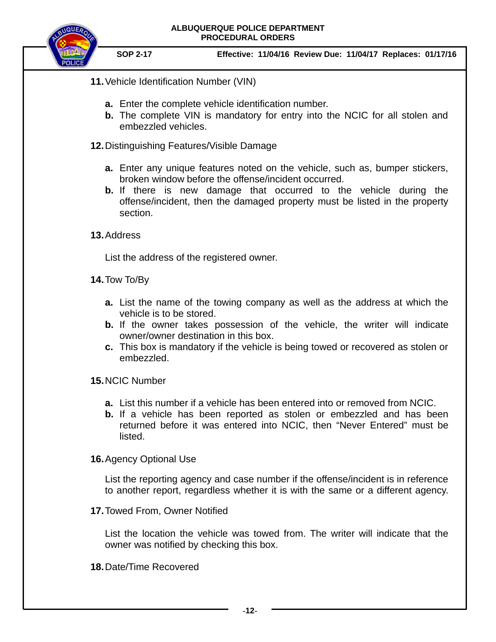

**SOP 2-17 Effective: 11/04/16 Review Due: 11/04/17 Replaces: 01/17/16**

- **11.**Vehicle Identification Number (VIN)
	- **a.** Enter the complete vehicle identification number.
	- **b.** The complete VIN is mandatory for entry into the NCIC for all stolen and embezzled vehicles.
- **12.**Distinguishing Features/Visible Damage
	- **a.** Enter any unique features noted on the vehicle, such as, bumper stickers, broken window before the offense/incident occurred.
	- **b.** If there is new damage that occurred to the vehicle during the offense/incident, then the damaged property must be listed in the property section.

#### **13.**Address

List the address of the registered owner.

**14.**Tow To/By

- **a.** List the name of the towing company as well as the address at which the vehicle is to be stored.
- **b.** If the owner takes possession of the vehicle, the writer will indicate owner/owner destination in this box.
- **c.** This box is mandatory if the vehicle is being towed or recovered as stolen or embezzled.

**15.**NCIC Number

- **a.** List this number if a vehicle has been entered into or removed from NCIC.
- **b.** If a vehicle has been reported as stolen or embezzled and has been returned before it was entered into NCIC, then "Never Entered" must be listed.

**16.**Agency Optional Use

List the reporting agency and case number if the offense/incident is in reference to another report, regardless whether it is with the same or a different agency.

**17.**Towed From, Owner Notified

List the location the vehicle was towed from. The writer will indicate that the owner was notified by checking this box.

**18.**Date/Time Recovered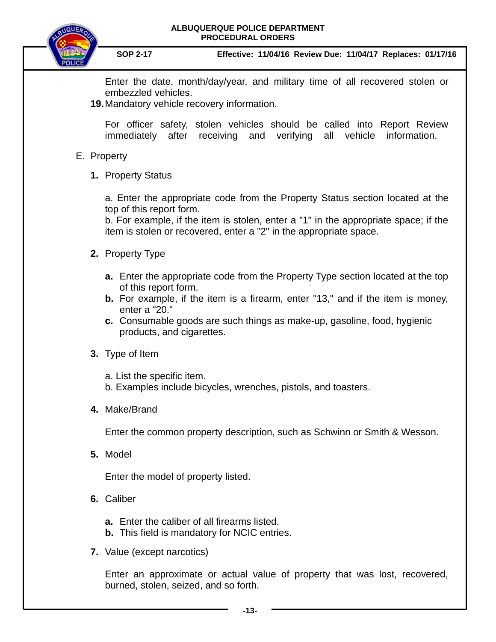

Enter the date, month/day/year, and military time of all recovered stolen or embezzled vehicles.

**19.**Mandatory vehicle recovery information.

For officer safety, stolen vehicles should be called into Report Review immediately after receiving and verifying all vehicle information.

- E. Property
	- **1.** Property Status

a. Enter the appropriate code from the Property Status section located at the top of this report form.

b. For example, if the item is stolen, enter a "1" in the appropriate space; if the item is stolen or recovered, enter a "2" in the appropriate space.

- **2.** Property Type
	- **a.** Enter the appropriate code from the Property Type section located at the top of this report form.
	- **b.** For example, if the item is a firearm, enter "13," and if the item is money, enter a "20."
	- **c.** Consumable goods are such things as make-up, gasoline, food, hygienic products, and cigarettes.
- **3.** Type of Item
	- a. List the specific item.
	- b. Examples include bicycles, wrenches, pistols, and toasters.
- **4.** Make/Brand

Enter the common property description, such as Schwinn or Smith & Wesson.

**5.** Model

Enter the model of property listed.

- **6.** Caliber
	- **a.** Enter the caliber of all firearms listed.
	- **b.** This field is mandatory for NCIC entries.
- **7.** Value (except narcotics)

Enter an approximate or actual value of property that was lost, recovered, burned, stolen, seized, and so forth.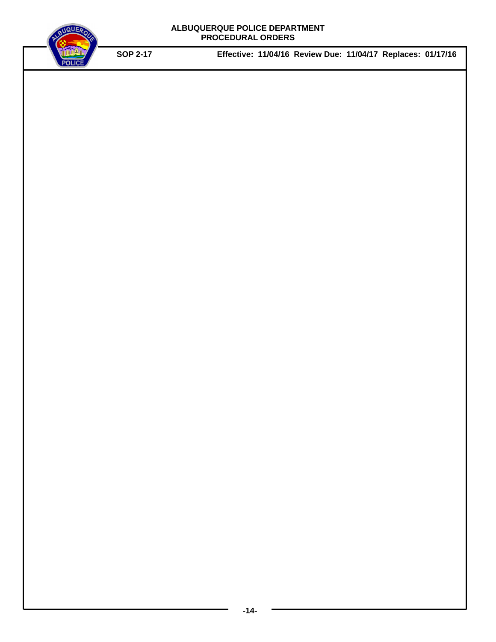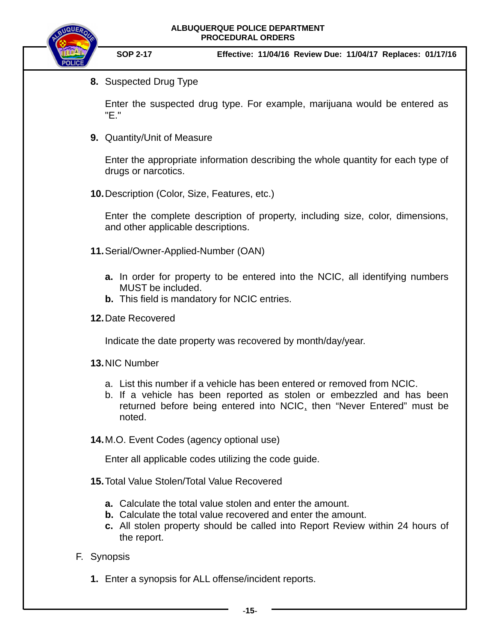

**8.** Suspected Drug Type

Enter the suspected drug type. For example, marijuana would be entered as "E."

**9.** Quantity/Unit of Measure

Enter the appropriate information describing the whole quantity for each type of drugs or narcotics.

**10.**Description (Color, Size, Features, etc.)

Enter the complete description of property, including size, color, dimensions, and other applicable descriptions.

- **11.**Serial/Owner-Applied-Number (OAN)
	- **a.** In order for property to be entered into the NCIC, all identifying numbers MUST be included.
	- **b.** This field is mandatory for NCIC entries.
- **12.**Date Recovered

Indicate the date property was recovered by month/day/year.

- **13.**NIC Number
	- a. List this number if a vehicle has been entered or removed from NCIC.
	- b. If a vehicle has been reported as stolen or embezzled and has been returned before being entered into NCIC, then "Never Entered" must be noted.
- **14.**M.O. Event Codes (agency optional use)

Enter all applicable codes utilizing the code guide.

- **15.**Total Value Stolen/Total Value Recovered
	- **a.** Calculate the total value stolen and enter the amount.
	- **b.** Calculate the total value recovered and enter the amount.
	- **c.** All stolen property should be called into Report Review within 24 hours of the report.
- F. Synopsis
	- **1.** Enter a synopsis for ALL offense/incident reports.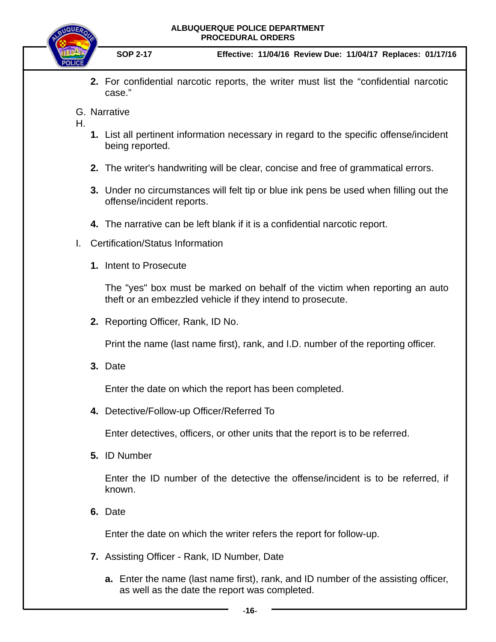

- **2.** For confidential narcotic reports, the writer must list the "confidential narcotic case."
- G. Narrative

H.

- **1.** List all pertinent information necessary in regard to the specific offense/incident being reported.
- **2.** The writer's handwriting will be clear, concise and free of grammatical errors.
- **3.** Under no circumstances will felt tip or blue ink pens be used when filling out the offense/incident reports.
- **4.** The narrative can be left blank if it is a confidential narcotic report.
- I. Certification/Status Information
	- **1.** Intent to Prosecute

The "yes" box must be marked on behalf of the victim when reporting an auto theft or an embezzled vehicle if they intend to prosecute.

**2.** Reporting Officer, Rank, ID No.

Print the name (last name first), rank, and I.D. number of the reporting officer.

**3.** Date

Enter the date on which the report has been completed.

**4.** Detective/Follow-up Officer/Referred To

Enter detectives, officers, or other units that the report is to be referred.

**5.** ID Number

Enter the ID number of the detective the offense/incident is to be referred, if known.

**6.** Date

Enter the date on which the writer refers the report for follow-up.

- **7.** Assisting Officer Rank, ID Number, Date
	- **a.** Enter the name (last name first), rank, and ID number of the assisting officer, as well as the date the report was completed.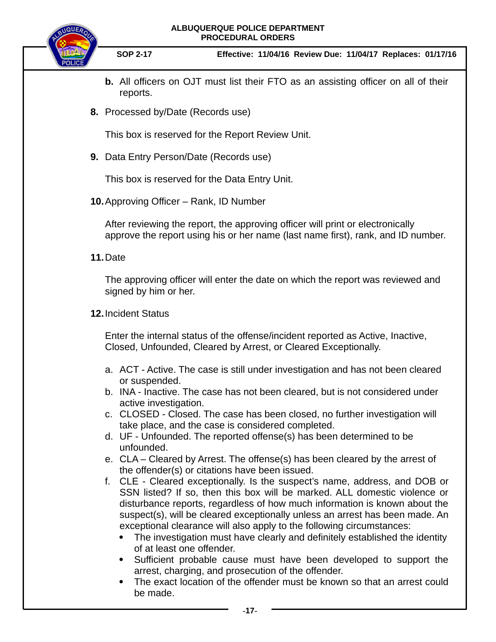

**SOP 2-17 Effective: 11/04/16 Review Due: 11/04/17 Replaces: 01/17/16**

- **b.** All officers on OJT must list their FTO as an assisting officer on all of their reports.
- **8.** Processed by/Date (Records use)

This box is reserved for the Report Review Unit.

**9.** Data Entry Person/Date (Records use)

This box is reserved for the Data Entry Unit.

**10.**Approving Officer – Rank, ID Number

After reviewing the report, the approving officer will print or electronically approve the report using his or her name (last name first), rank, and ID number.

**11.**Date

The approving officer will enter the date on which the report was reviewed and signed by him or her.

### **12.**Incident Status

Enter the internal status of the offense/incident reported as Active, Inactive, Closed, Unfounded, Cleared by Arrest, or Cleared Exceptionally.

- a. ACT Active. The case is still under investigation and has not been cleared or suspended.
- b. INA Inactive. The case has not been cleared, but is not considered under active investigation.
- c. CLOSED Closed. The case has been closed, no further investigation will take place, and the case is considered completed.
- d. UF Unfounded. The reported offense(s) has been determined to be unfounded.
- e. CLA Cleared by Arrest. The offense(s) has been cleared by the arrest of the offender(s) or citations have been issued.
- f. CLE Cleared exceptionally. Is the suspect's name, address, and DOB or SSN listed? If so, then this box will be marked. ALL domestic violence or disturbance reports, regardless of how much information is known about the suspect(s), will be cleared exceptionally unless an arrest has been made. An exceptional clearance will also apply to the following circumstances:
	- The investigation must have clearly and definitely established the identity of at least one offender.
	- Sufficient probable cause must have been developed to support the arrest, charging, and prosecution of the offender.
	- The exact location of the offender must be known so that an arrest could be made.